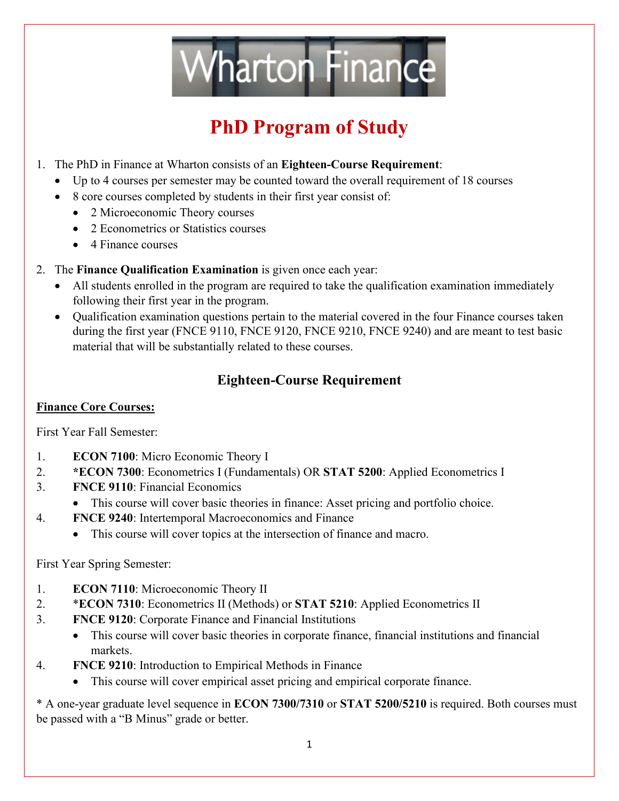

# **PhD Program of Study**

- 1. The PhD in Finance at Wharton consists of an **Eighteen-Course Requirement**:
	- Up to 4 courses per semester may be counted toward the overall requirement of 18 courses
	- 8 core courses completed by students in their first year consist of:
		- 2 Microeconomic Theory courses
		- 2 Econometrics or Statistics courses
		- 4 Finance courses
- 2. The **Finance Qualification Examination** is given once each year:
	- All students enrolled in the program are required to take the qualification examination immediately following their first year in the program.
	- Qualification examination questions pertain to the material covered in the four Finance courses taken during the first year (FNCE 9110, FNCE 9120, FNCE 9210, FNCE 9240) and are meant to test basic material that will be substantially related to these courses.

### **Eighteen-Course Requirement**

#### **Finance Core Courses:**

First Year Fall Semester:

- 1. **ECON 7100**: Micro Economic Theory I
- 2. **\*ECON 7300**: Econometrics I (Fundamentals) OR **STAT 5200**: Applied Econometrics I
- 3. **FNCE 9110**: Financial Economics
	- This course will cover basic theories in finance: Asset pricing and portfolio choice.
- 4. **FNCE 9240**: Intertemporal Macroeconomics and Finance
	- This course will cover topics at the intersection of finance and macro.

First Year Spring Semester:

- 1. **ECON 7110**: Microeconomic Theory II
- 2. \***ECON 7310**: Econometrics II (Methods) or **STAT 5210**: Applied Econometrics II
- 3. **FNCE 9120**: Corporate Finance and Financial Institutions
	- This course will cover basic theories in corporate finance, financial institutions and financial markets.
- 4. **FNCE 9210**: Introduction to Empirical Methods in Finance
	- This course will cover empirical asset pricing and empirical corporate finance.

\* A one-year graduate level sequence in **ECON 7300/7310** or **STAT 5200/5210** is required. Both courses must be passed with a "B Minus" grade or better.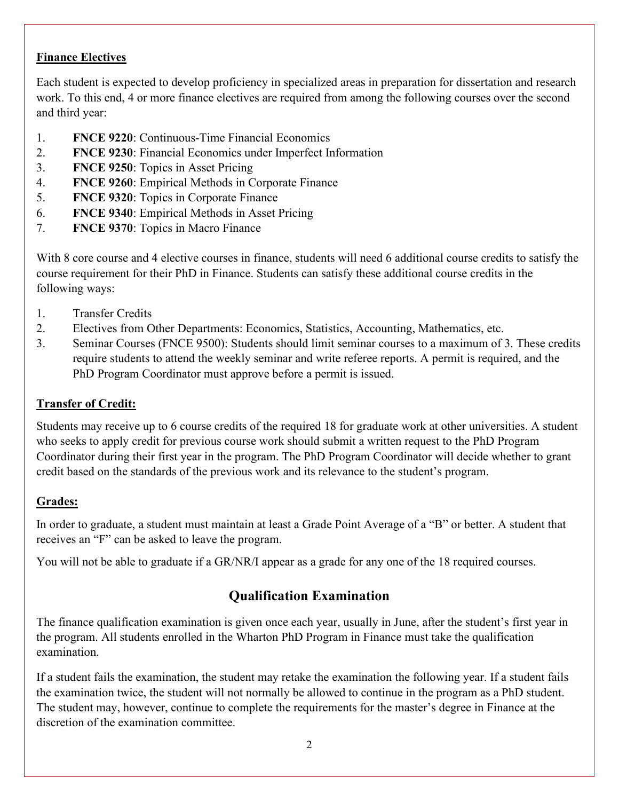#### **Finance Electives**

Each student is expected to develop proficiency in specialized areas in preparation for dissertation and research work. To this end, 4 or more finance electives are required from among the following courses over the second and third year:

- 1. **FNCE 9220**: Continuous-Time Financial Economics
- 2. **FNCE 9230**: Financial Economics under Imperfect Information
- 3. **FNCE 9250**: Topics in Asset Pricing
- 4. **FNCE 9260**: Empirical Methods in Corporate Finance
- 5. **FNCE 9320**: Topics in Corporate Finance
- 6. **FNCE 9340**: Empirical Methods in Asset Pricing
- 7. **FNCE 9370**: Topics in Macro Finance

With 8 core course and 4 elective courses in finance, students will need 6 additional course credits to satisfy the course requirement for their PhD in Finance. Students can satisfy these additional course credits in the following ways:

- 1. Transfer Credits
- 2. Electives from Other Departments: Economics, Statistics, Accounting, Mathematics, etc.
- 3. Seminar Courses (FNCE 9500): Students should limit seminar courses to a maximum of 3. These credits require students to attend the weekly seminar and write referee reports. A permit is required, and the PhD Program Coordinator must approve before a permit is issued.

#### **Transfer of Credit:**

Students may receive up to 6 course credits of the required 18 for graduate work at other universities. A student who seeks to apply credit for previous course work should submit a written request to the PhD Program Coordinator during their first year in the program. The PhD Program Coordinator will decide whether to grant credit based on the standards of the previous work and its relevance to the student's program.

#### **Grades:**

In order to graduate, a student must maintain at least a Grade Point Average of a "B" or better. A student that receives an "F" can be asked to leave the program.

You will not be able to graduate if a GR/NR/I appear as a grade for any one of the 18 required courses.

#### **Qualification Examination**

The finance qualification examination is given once each year, usually in June, after the student's first year in the program. All students enrolled in the Wharton PhD Program in Finance must take the qualification examination.

If a student fails the examination, the student may retake the examination the following year. If a student fails the examination twice, the student will not normally be allowed to continue in the program as a PhD student. The student may, however, continue to complete the requirements for the master's degree in Finance at the discretion of the examination committee.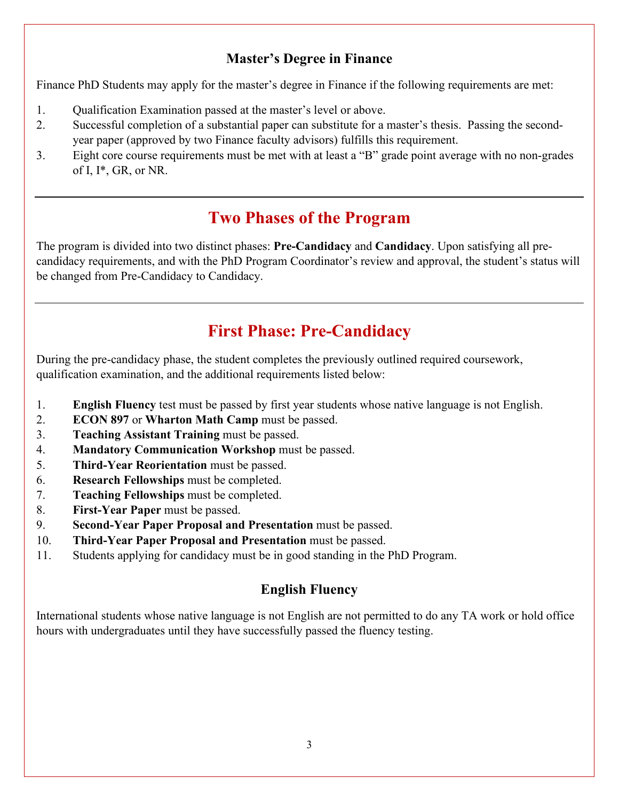#### **Master's Degree in Finance**

Finance PhD Students may apply for the master's degree in Finance if the following requirements are met:

- 1. Qualification Examination passed at the master's level or above.
- 2. Successful completion of a substantial paper can substitute for a master's thesis. Passing the secondyear paper (approved by two Finance faculty advisors) fulfills this requirement.
- 3. Eight core course requirements must be met with at least a "B" grade point average with no non-grades of I, I\*, GR, or NR.

## **Two Phases of the Program**

The program is divided into two distinct phases: **Pre-Candidacy** and **Candidacy**. Upon satisfying all precandidacy requirements, and with the PhD Program Coordinator's review and approval, the student's status will be changed from Pre-Candidacy to Candidacy.

## **First Phase: Pre-Candidacy**

During the pre-candidacy phase, the student completes the previously outlined required coursework, qualification examination, and the additional requirements listed below:

- 1. **English Fluency** test must be passed by first year students whose native language is not English.
- 2. **ECON 897** or **Wharton Math Camp** must be passed.
- 3. **Teaching Assistant Training** must be passed.
- 4. **Mandatory Communication Workshop** must be passed.
- 5. **Third-Year Reorientation** must be passed.
- 6. **Research Fellowships** must be completed.
- 7. **Teaching Fellowships** must be completed.
- 8. **First-Year Paper** must be passed.
- 9. **Second-Year Paper Proposal and Presentation** must be passed.
- 10. **Third-Year Paper Proposal and Presentation** must be passed.
- 11. Students applying for candidacy must be in good standing in the PhD Program.

#### **English Fluency**

International students whose native language is not English are not permitted to do any TA work or hold office hours with undergraduates until they have successfully passed the fluency testing.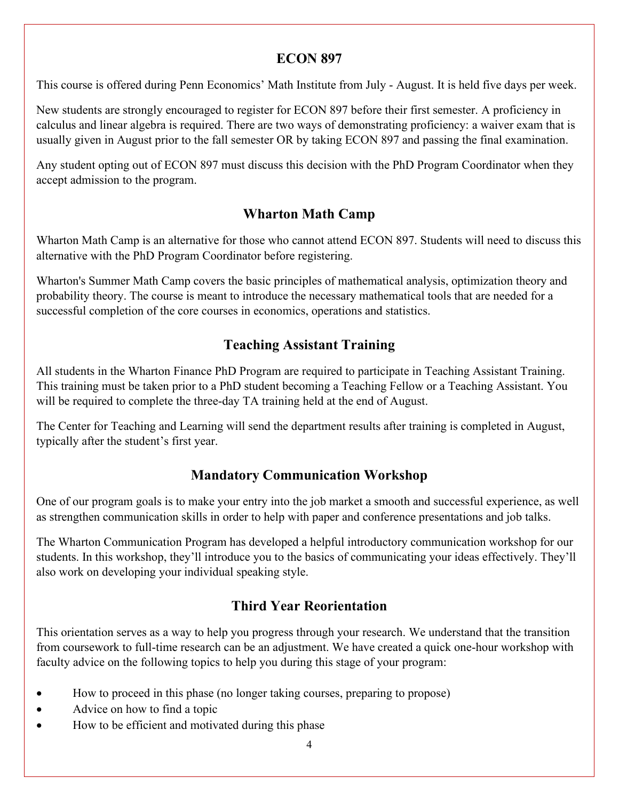#### **ECON 897**

This course is offered during Penn Economics' Math Institute from July - August. It is held five days per week.

New students are strongly encouraged to register for ECON 897 before their first semester. A proficiency in calculus and linear algebra is required. There are two ways of demonstrating proficiency: a waiver exam that is usually given in August prior to the fall semester OR by taking ECON 897 and passing the final examination.

Any student opting out of ECON 897 must discuss this decision with the PhD Program Coordinator when they accept admission to the program.

#### **Wharton Math Camp**

Wharton Math Camp is an alternative for those who cannot attend ECON 897. Students will need to discuss this alternative with the PhD Program Coordinator before registering.

Wharton's Summer Math Camp covers the basic principles of mathematical analysis, optimization theory and probability theory. The course is meant to introduce the necessary mathematical tools that are needed for a successful completion of the core courses in economics, operations and statistics.

### **Teaching Assistant Training**

All students in the Wharton Finance PhD Program are required to participate in Teaching Assistant Training. This training must be taken prior to a PhD student becoming a Teaching Fellow or a Teaching Assistant. You will be required to complete the three-day TA training held at the end of August.

The Center for Teaching and Learning will send the department results after training is completed in August, typically after the student's first year.

### **Mandatory Communication Workshop**

One of our program goals is to make your entry into the job market a smooth and successful experience, as well as strengthen communication skills in order to help with paper and conference presentations and job talks.

The Wharton Communication Program has developed a helpful introductory communication workshop for our students. In this workshop, they'll introduce you to the basics of communicating your ideas effectively. They'll also work on developing your individual speaking style.

### **Third Year Reorientation**

This orientation serves as a way to help you progress through your research. We understand that the transition from coursework to full-time research can be an adjustment. We have created a quick one-hour workshop with faculty advice on the following topics to help you during this stage of your program:

- How to proceed in this phase (no longer taking courses, preparing to propose)
- Advice on how to find a topic
- How to be efficient and motivated during this phase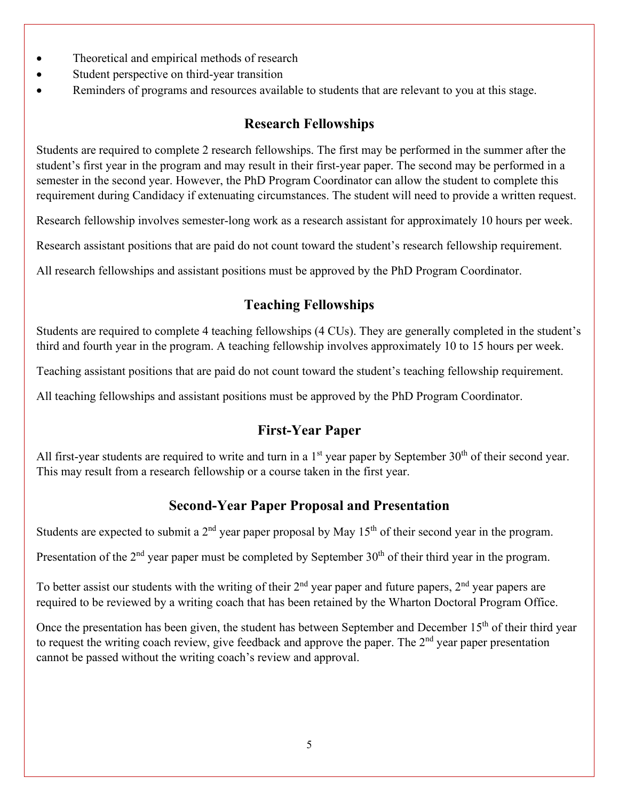- Theoretical and empirical methods of research
- Student perspective on third-year transition
- Reminders of programs and resources available to students that are relevant to you at this stage.

#### **Research Fellowships**

Students are required to complete 2 research fellowships. The first may be performed in the summer after the student's first year in the program and may result in their first-year paper. The second may be performed in a semester in the second year. However, the PhD Program Coordinator can allow the student to complete this requirement during Candidacy if extenuating circumstances. The student will need to provide a written request.

Research fellowship involves semester-long work as a research assistant for approximately 10 hours per week.

Research assistant positions that are paid do not count toward the student's research fellowship requirement.

All research fellowships and assistant positions must be approved by the PhD Program Coordinator.

#### **Teaching Fellowships**

Students are required to complete 4 teaching fellowships (4 CUs). They are generally completed in the student's third and fourth year in the program. A teaching fellowship involves approximately 10 to 15 hours per week.

Teaching assistant positions that are paid do not count toward the student's teaching fellowship requirement.

All teaching fellowships and assistant positions must be approved by the PhD Program Coordinator.

#### **First-Year Paper**

All first-year students are required to write and turn in a  $1<sup>st</sup>$  year paper by September 30<sup>th</sup> of their second year. This may result from a research fellowship or a course taken in the first year.

#### **Second-Year Paper Proposal and Presentation**

Students are expected to submit a  $2<sup>nd</sup>$  year paper proposal by May  $15<sup>th</sup>$  of their second year in the program.

Presentation of the 2<sup>nd</sup> year paper must be completed by September 30<sup>th</sup> of their third year in the program.

To better assist our students with the writing of their  $2<sup>nd</sup>$  year paper and future papers,  $2<sup>nd</sup>$  year papers are required to be reviewed by a writing coach that has been retained by the Wharton Doctoral Program Office.

Once the presentation has been given, the student has between September and December 15<sup>th</sup> of their third year to request the writing coach review, give feedback and approve the paper. The 2<sup>nd</sup> year paper presentation cannot be passed without the writing coach's review and approval.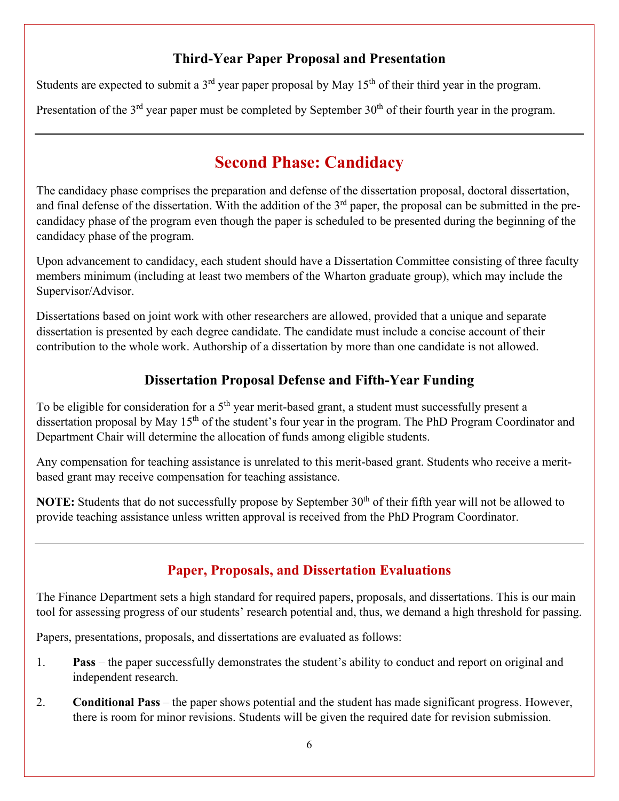#### **Third-Year Paper Proposal and Presentation**

Students are expected to submit a  $3<sup>rd</sup>$  year paper proposal by May 15<sup>th</sup> of their third year in the program.

Presentation of the 3<sup>rd</sup> year paper must be completed by September 30<sup>th</sup> of their fourth year in the program.

## **Second Phase: Candidacy**

The candidacy phase comprises the preparation and defense of the dissertation proposal, doctoral dissertation, and final defense of the dissertation. With the addition of the  $3<sup>rd</sup>$  paper, the proposal can be submitted in the precandidacy phase of the program even though the paper is scheduled to be presented during the beginning of the candidacy phase of the program.

Upon advancement to candidacy, each student should have a Dissertation Committee consisting of three faculty members minimum (including at least two members of the Wharton graduate group), which may include the Supervisor/Advisor.

Dissertations based on joint work with other researchers are allowed, provided that a unique and separate dissertation is presented by each degree candidate. The candidate must include a concise account of their contribution to the whole work. Authorship of a dissertation by more than one candidate is not allowed.

### **Dissertation Proposal Defense and Fifth-Year Funding**

To be eligible for consideration for a 5<sup>th</sup> year merit-based grant, a student must successfully present a dissertation proposal by May 15<sup>th</sup> of the student's four year in the program. The PhD Program Coordinator and Department Chair will determine the allocation of funds among eligible students.

Any compensation for teaching assistance is unrelated to this merit-based grant. Students who receive a meritbased grant may receive compensation for teaching assistance.

**NOTE:** Students that do not successfully propose by September 30<sup>th</sup> of their fifth year will not be allowed to provide teaching assistance unless written approval is received from the PhD Program Coordinator.

### **Paper, Proposals, and Dissertation Evaluations**

The Finance Department sets a high standard for required papers, proposals, and dissertations. This is our main tool for assessing progress of our students' research potential and, thus, we demand a high threshold for passing.

Papers, presentations, proposals, and dissertations are evaluated as follows:

- 1. **Pass**  the paper successfully demonstrates the student's ability to conduct and report on original and independent research.
- 2. **Conditional Pass** the paper shows potential and the student has made significant progress. However, there is room for minor revisions. Students will be given the required date for revision submission.